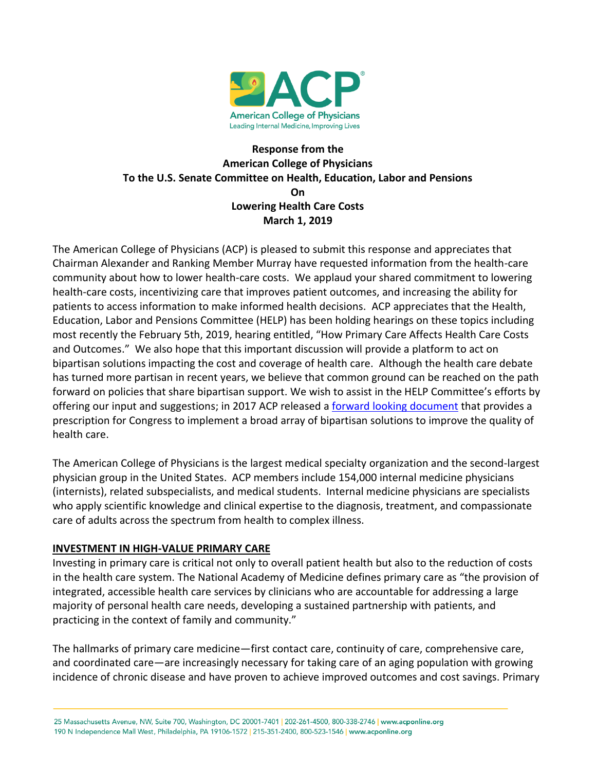

# **Response from the American College of Physicians To the U.S. Senate Committee on Health, Education, Labor and Pensions On Lowering Health Care Costs March 1, 2019**

The American College of Physicians (ACP) is pleased to submit this response and appreciates that Chairman Alexander and Ranking Member Murray have requested information from the health-care community about how to lower health-care costs. We applaud your shared commitment to lowering health-care costs, incentivizing care that improves patient outcomes, and increasing the ability for patients to access information to make informed health decisions. ACP appreciates that the Health, Education, Labor and Pensions Committee (HELP) has been holding hearings on these topics including most recently the February 5th, 2019, hearing entitled, "How Primary Care Affects Health Care Costs and Outcomes." We also hope that this important discussion will provide a platform to act on bipartisan solutions impacting the cost and coverage of health care. Although the health care debate has turned more partisan in recent years, we believe that common ground can be reached on the path forward on policies that share bipartisan support. We wish to assist in the HELP Committee's efforts by offering our input and suggestions; in 2017 ACP released a [forward looking document](https://www.acponline.org/acp_policy/policies/forward_looking_policy_agenda_2017.pdf) that provides a prescription for Congress to implement a broad array of bipartisan solutions to improve the quality of health care.

The American College of Physicians is the largest medical specialty organization and the second-largest physician group in the United States. ACP members include 154,000 internal medicine physicians (internists), related subspecialists, and medical students. Internal medicine physicians are specialists who apply scientific knowledge and clinical expertise to the diagnosis, treatment, and compassionate care of adults across the spectrum from health to complex illness.

## **INVESTMENT IN HIGH-VALUE PRIMARY CARE**

Investing in primary care is critical not only to overall patient health but also to the reduction of costs in the health care system. The National Academy of Medicine defines primary care as "the provision of integrated, accessible health care services by clinicians who are accountable for addressing a large majority of personal health care needs, developing a sustained partnership with patients, and practicing in the context of family and community."

The hallmarks of primary care medicine—first contact care, continuity of care, comprehensive care, and coordinated care—are increasingly necessary for taking care of an aging population with growing incidence of chronic disease and have proven to achieve improved outcomes and cost savings. Primary

25 Massachusetts Avenue, NW, Suite 700, Washington, DC 20001-7401 | 202-261-4500, 800-338-2746 | www.acponline.org 190 N Independence Mall West, Philadelphia, PA 19106-1572 | 215-351-2400, 800-523-1546 | www.acponline.org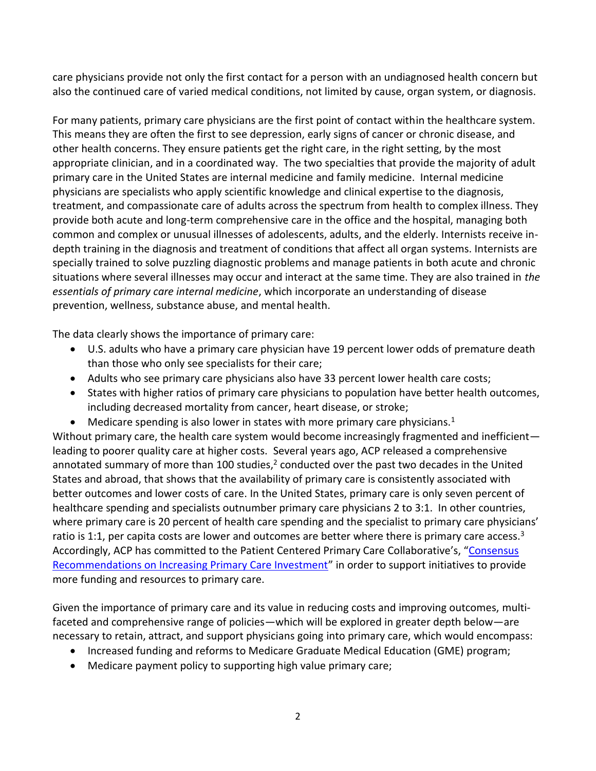care physicians provide not only the first contact for a person with an undiagnosed health concern but also the continued care of varied medical conditions, not limited by cause, organ system, or diagnosis.

For many patients, primary care physicians are the first point of contact within the healthcare system. This means they are often the first to see depression, early signs of cancer or chronic disease, and other health concerns. They ensure patients get the right care, in the right setting, by the most appropriate clinician, and in a coordinated way. The two specialties that provide the majority of adult primary care in the United States are internal medicine and family medicine. Internal medicine physicians are specialists who apply scientific knowledge and clinical expertise to the diagnosis, treatment, and compassionate care of adults across the spectrum from health to complex illness. They provide both acute and long-term comprehensive care in the office and the hospital, managing both common and complex or unusual illnesses of adolescents, adults, and the elderly. Internists receive indepth training in the diagnosis and treatment of conditions that affect all organ systems. Internists are specially trained to solve puzzling diagnostic problems and manage patients in both acute and chronic situations where several illnesses may occur and interact at the same time. They are also trained in *the essentials of primary care internal medicine*, which incorporate an understanding of disease prevention, wellness, substance abuse, and mental health.

The data clearly shows the importance of primary care:

- U.S. adults who have a primary care physician have 19 percent lower odds of premature death than those who only see specialists for their care;
- Adults who see primary care physicians also have 33 percent lower health care costs;
- States with higher ratios of primary care physicians to population have better health outcomes, including decreased mortality from cancer, heart disease, or stroke;
- $\bullet$  Medicare spending is also lower in states with more primary care physicians.<sup>1</sup>

Without primary care, the health care system would become increasingly fragmented and inefficient leading to poorer quality care at higher costs. Several years ago, ACP released a comprehensive annotated summary of more than 100 studies,<sup>2</sup> conducted over the past two decades in the United States and abroad, that shows that the availability of primary care is consistently associated with better outcomes and lower costs of care. In the United States, primary care is only seven percent of healthcare spending and specialists outnumber primary care physicians 2 to 3:1. In other countries, where primary care is 20 percent of health care spending and the specialist to primary care physicians' ratio is 1:1, per capita costs are lower and outcomes are better where there is primary care access.<sup>3</sup> Accordingly, ACP has committed to the Patient Centered Primary Care Collaborative's, "[Consensus](https://www.pcpcc.org/sites/default/files/resources/PCPCC%20Consensus%20Recommendations%20on%20Primary%20Care%20Investment%20Aug%202018.pdf)  [Recommendations on Increasing Primary Care Investment](https://www.pcpcc.org/sites/default/files/resources/PCPCC%20Consensus%20Recommendations%20on%20Primary%20Care%20Investment%20Aug%202018.pdf)" in order to support initiatives to provide more funding and resources to primary care.

Given the importance of primary care and its value in reducing costs and improving outcomes, multifaceted and comprehensive range of policies—which will be explored in greater depth below—are necessary to retain, attract, and support physicians going into primary care, which would encompass:

- Increased funding and reforms to Medicare Graduate Medical Education (GME) program;
- Medicare payment policy to supporting high value primary care;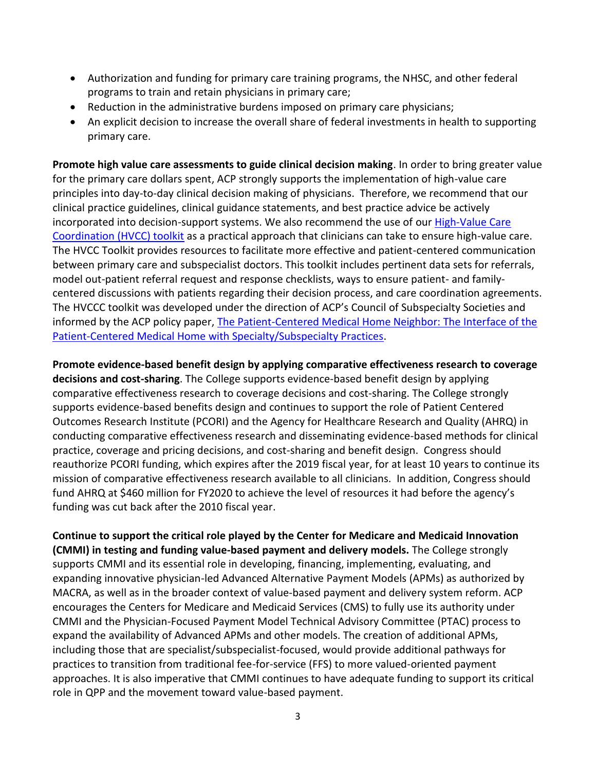- Authorization and funding for primary care training programs, the NHSC, and other federal programs to train and retain physicians in primary care;
- Reduction in the administrative burdens imposed on primary care physicians;
- An explicit decision to increase the overall share of federal investments in health to supporting primary care.

**Promote high value care assessments to guide clinical decision making**. In order to bring greater value for the primary care dollars spent, ACP strongly supports the implementation of high-value care principles into day-to-day clinical decision making of physicians. Therefore, we recommend that our clinical practice guidelines, clinical guidance statements, and best practice advice be actively incorporated into decision-support systems. We also recommend the use of our **High-Value Care** [Coordination \(HVCC\) toolkit](https://www.acponline.org/clinical-information/high-value-care/resources-for-clinicians/high-value-care-coordination-hvcc-toolkit/high-value-care-coordination-project) as a practical approach that clinicians can take to ensure high-value care. The HVCC Toolkit provides resources to facilitate more effective and patient-centered communication between primary care and subspecialist doctors. This toolkit includes pertinent data sets for referrals, model out-patient referral request and response checklists, ways to ensure patient- and familycentered discussions with patients regarding their decision process, and care coordination agreements. The HVCCC toolkit was developed under the direction of ACP's Council of Subspecialty Societies and informed by the ACP policy paper, [The Patient-Centered Medical Home Neighbor: The Interface of the](https://www.acponline.org/sites/default/files/documents/acp_policy/policies/pcmh_interface_subspecialty_practices_2010.pdf)  [Patient-Centered Medical Home with Specialty/Subspecialty Practices.](https://www.acponline.org/sites/default/files/documents/acp_policy/policies/pcmh_interface_subspecialty_practices_2010.pdf)

**Promote evidence-based benefit design by applying comparative effectiveness research to coverage decisions and cost-sharing**. The College supports evidence-based benefit design by applying comparative effectiveness research to coverage decisions and cost-sharing. The College strongly supports evidence-based benefits design and continues to support the role of Patient Centered Outcomes Research Institute (PCORI) and the Agency for Healthcare Research and Quality (AHRQ) in conducting comparative effectiveness research and disseminating evidence-based methods for clinical practice, coverage and pricing decisions, and cost-sharing and benefit design. Congress should reauthorize PCORI funding, which expires after the 2019 fiscal year, for at least 10 years to continue its mission of comparative effectiveness research available to all clinicians. In addition, Congress should fund AHRQ at \$460 million for FY2020 to achieve the level of resources it had before the agency's funding was cut back after the 2010 fiscal year.

**Continue to support the critical role played by the Center for Medicare and Medicaid Innovation (CMMI) in testing and funding value-based payment and delivery models.** The College strongly supports CMMI and its essential role in developing, financing, implementing, evaluating, and expanding innovative physician-led Advanced Alternative Payment Models (APMs) as authorized by MACRA, as well as in the broader context of value-based payment and delivery system reform. ACP encourages the Centers for Medicare and Medicaid Services (CMS) to fully use its authority under CMMI and the Physician-Focused Payment Model Technical Advisory Committee (PTAC) process to expand the availability of Advanced APMs and other models. The creation of additional APMs, including those that are specialist/subspecialist-focused, would provide additional pathways for practices to transition from traditional fee-for-service (FFS) to more valued-oriented payment approaches. It is also imperative that CMMI continues to have adequate funding to support its critical role in QPP and the movement toward value-based payment.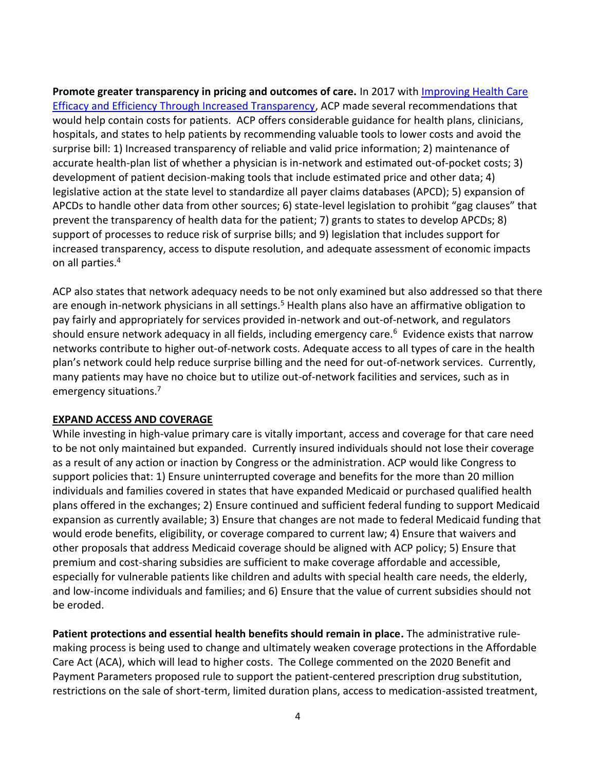**Promote greater transparency in pricing and outcomes of care.** In 2017 with [Improving Health Care](https://www.acponline.org/acp_policy/policies/improving_health_care_efficacy_and_efficiency_through_increased_transparency_2017.pdf)  [Efficacy and Efficiency Through Increased Transparency,](https://www.acponline.org/acp_policy/policies/improving_health_care_efficacy_and_efficiency_through_increased_transparency_2017.pdf) ACP made several recommendations that would help contain costs for patients. ACP offers considerable guidance for health plans, clinicians, hospitals, and states to help patients by recommending valuable tools to lower costs and avoid the surprise bill: 1) Increased transparency of reliable and valid price information; 2) maintenance of accurate health-plan list of whether a physician is in-network and estimated out-of-pocket costs; 3) development of patient decision-making tools that include estimated price and other data; 4) legislative action at the state level to standardize all payer claims databases (APCD); 5) expansion of APCDs to handle other data from other sources; 6) state-level legislation to prohibit "gag clauses" that prevent the transparency of health data for the patient; 7) grants to states to develop APCDs; 8) support of processes to reduce risk of surprise bills; and 9) legislation that includes support for increased transparency, access to dispute resolution, and adequate assessment of economic impacts on all parties.<sup>4</sup>

ACP also states that network adequacy needs to be not only examined but also addressed so that there are enough in-network physicians in all settings.<sup>5</sup> Health plans also have an affirmative obligation to pay fairly and appropriately for services provided in-network and out-of-network, and regulators should ensure network adequacy in all fields, including emergency care.<sup>6</sup> Evidence exists that narrow networks contribute to higher out-of-network costs. Adequate access to all types of care in the health plan's network could help reduce surprise billing and the need for out-of-network services. Currently, many patients may have no choice but to utilize out-of-network facilities and services, such as in emergency situations.<sup>7</sup>

## **EXPAND ACCESS AND COVERAGE**

While investing in high-value primary care is vitally important, access and coverage for that care need to be not only maintained but expanded. Currently insured individuals should not lose their coverage as a result of any action or inaction by Congress or the administration. ACP would like Congress to support policies that: 1) Ensure uninterrupted coverage and benefits for the more than 20 million individuals and families covered in states that have expanded Medicaid or purchased qualified health plans offered in the exchanges; 2) Ensure continued and sufficient federal funding to support Medicaid expansion as currently available; 3) Ensure that changes are not made to federal Medicaid funding that would erode benefits, eligibility, or coverage compared to current law; 4) Ensure that waivers and other proposals that address Medicaid coverage should be aligned with ACP policy; 5) Ensure that premium and cost-sharing subsidies are sufficient to make coverage affordable and accessible, especially for vulnerable patients like children and adults with special health care needs, the elderly, and low-income individuals and families; and 6) Ensure that the value of current subsidies should not be eroded.

**Patient protections and essential health benefits should remain in place.** The administrative rulemaking process is being used to change and ultimately weaken coverage protections in the Affordable Care Act (ACA), which will lead to higher costs. The College commented on the 2020 Benefit and Payment Parameters proposed rule to support the patient-centered prescription drug substitution, restrictions on the sale of short-term, limited duration plans, access to medication-assisted treatment,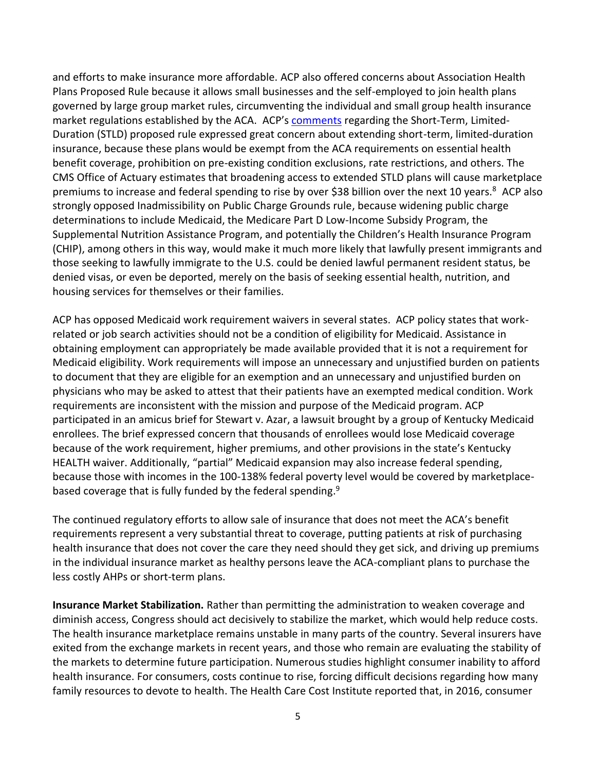and efforts to make insurance more affordable. ACP also offered concerns about Association Health Plans Proposed Rule because it allows small businesses and the self-employed to join health plans governed by large group market rules, circumventing the individual and small group health insurance market regulations established by the ACA. ACP's [comments](https://www.acponline.org/acp_policy/letters/letter_to_cms_on_short_term_insurance_plans_2018.pdf) regarding the Short-Term, Limited-Duration (STLD) proposed rule expressed great concern about extending short-term, limited-duration insurance, because these plans would be exempt from the ACA requirements on essential health benefit coverage, prohibition on pre-existing condition exclusions, rate restrictions, and others. The CMS Office of Actuary estimates that broadening access to extended STLD plans will cause marketplace premiums to increase and federal spending to rise by over \$38 billion over the next 10 years.<sup>8</sup> ACP also strongly opposed Inadmissibility on Public Charge Grounds rule, because widening public charge determinations to include Medicaid, the Medicare Part D Low-Income Subsidy Program, the Supplemental Nutrition Assistance Program, and potentially the Children's Health Insurance Program (CHIP), among others in this way, would make it much more likely that lawfully present immigrants and those seeking to lawfully immigrate to the U.S. could be denied lawful permanent resident status, be denied visas, or even be deported, merely on the basis of seeking essential health, nutrition, and housing services for themselves or their families.

ACP has opposed Medicaid work requirement waivers in several states. ACP policy states that workrelated or job search activities should not be a condition of eligibility for Medicaid. Assistance in obtaining employment can appropriately be made available provided that it is not a requirement for Medicaid eligibility. Work requirements will impose an unnecessary and unjustified burden on patients to document that they are eligible for an exemption and an unnecessary and unjustified burden on physicians who may be asked to attest that their patients have an exempted medical condition. Work requirements are inconsistent with the mission and purpose of the Medicaid program. ACP participated in an amicus brief for Stewart v. Azar, a lawsuit brought by a group of Kentucky Medicaid enrollees. The brief expressed concern that thousands of enrollees would lose Medicaid coverage because of the work requirement, higher premiums, and other provisions in the state's Kentucky HEALTH waiver. Additionally, "partial" Medicaid expansion may also increase federal spending, because those with incomes in the 100-138% federal poverty level would be covered by marketplacebased coverage that is fully funded by the federal spending.<sup>9</sup>

The continued regulatory efforts to allow sale of insurance that does not meet the ACA's benefit requirements represent a very substantial threat to coverage, putting patients at risk of purchasing health insurance that does not cover the care they need should they get sick, and driving up premiums in the individual insurance market as healthy persons leave the ACA-compliant plans to purchase the less costly AHPs or short-term plans.

**Insurance Market Stabilization.** Rather than permitting the administration to weaken coverage and diminish access, Congress should act decisively to stabilize the market, which would help reduce costs. The health insurance marketplace remains unstable in many parts of the country. Several insurers have exited from the exchange markets in recent years, and those who remain are evaluating the stability of the markets to determine future participation. Numerous studies highlight consumer inability to afford health insurance. For consumers, costs continue to rise, forcing difficult decisions regarding how many family resources to devote to health. The Health Care Cost Institute reported that, in 2016, consumer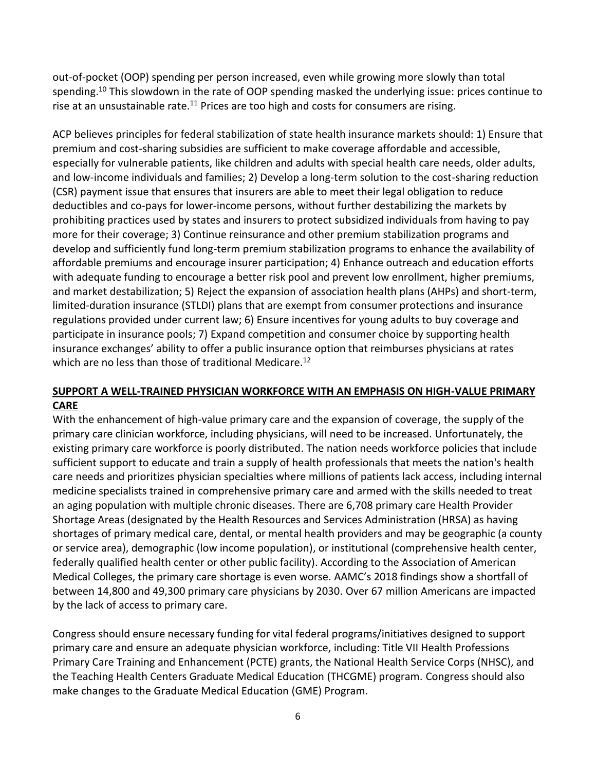out-of-pocket (OOP) spending per person increased, even while growing more slowly than total spending.<sup>10</sup> This slowdown in the rate of OOP spending masked the underlying issue: prices continue to rise at an unsustainable rate. $11$  Prices are too high and costs for consumers are rising.

ACP believes principles for federal stabilization of state health insurance markets should: 1) Ensure that premium and cost-sharing subsidies are sufficient to make coverage affordable and accessible, especially for vulnerable patients, like children and adults with special health care needs, older adults, and low-income individuals and families; 2) Develop a long-term solution to the cost-sharing reduction (CSR) payment issue that ensures that insurers are able to meet their legal obligation to reduce deductibles and co-pays for lower-income persons, without further destabilizing the markets by prohibiting practices used by states and insurers to protect subsidized individuals from having to pay more for their coverage; 3) Continue reinsurance and other premium stabilization programs and develop and sufficiently fund long-term premium stabilization programs to enhance the availability of affordable premiums and encourage insurer participation; 4) Enhance outreach and education efforts with adequate funding to encourage a better risk pool and prevent low enrollment, higher premiums, and market destabilization; 5) Reject the expansion of association health plans (AHPs) and short-term, limited-duration insurance (STLDI) plans that are exempt from consumer protections and insurance regulations provided under current law; 6) Ensure incentives for young adults to buy coverage and participate in insurance pools; 7) Expand competition and consumer choice by supporting health insurance exchanges' ability to offer a public insurance option that reimburses physicians at rates which are no less than those of traditional Medicare.<sup>12</sup>

### **SUPPORT A WELL-TRAINED PHYSICIAN WORKFORCE WITH AN EMPHASIS ON HIGH-VALUE PRIMARY CARE**

With the enhancement of high-value primary care and the expansion of coverage, the supply of the primary care clinician workforce, including physicians, will need to be increased. Unfortunately, the existing primary care workforce is poorly distributed. The nation needs workforce policies that include sufficient support to educate and train a supply of health professionals that meets the nation's health care needs and prioritizes physician specialties where millions of patients lack access, including internal medicine specialists trained in comprehensive primary care and armed with the skills needed to treat an aging population with multiple chronic diseases. There are 6,708 primary care Health Provider Shortage Areas (designated by the Health Resources and Services Administration (HRSA) as having shortages of primary medical care, dental, or mental health providers and may be geographic (a county or service area), demographic (low income population), or institutional (comprehensive health center, federally qualified health center or other public facility). According to the Association of American Medical Colleges, the primary care shortage is even worse. AAMC's 2018 findings show a shortfall of between 14,800 and 49,300 primary care physicians by 2030. Over 67 million Americans are impacted by the lack of access to primary care.

Congress should ensure necessary funding for vital federal programs/initiatives designed to support primary care and ensure an adequate physician workforce, including: Title VII Health Professions Primary Care Training and Enhancement (PCTE) grants, the National Health Service Corps (NHSC), and the Teaching Health Centers Graduate Medical Education (THCGME) program. Congress should also make changes to the Graduate Medical Education (GME) Program.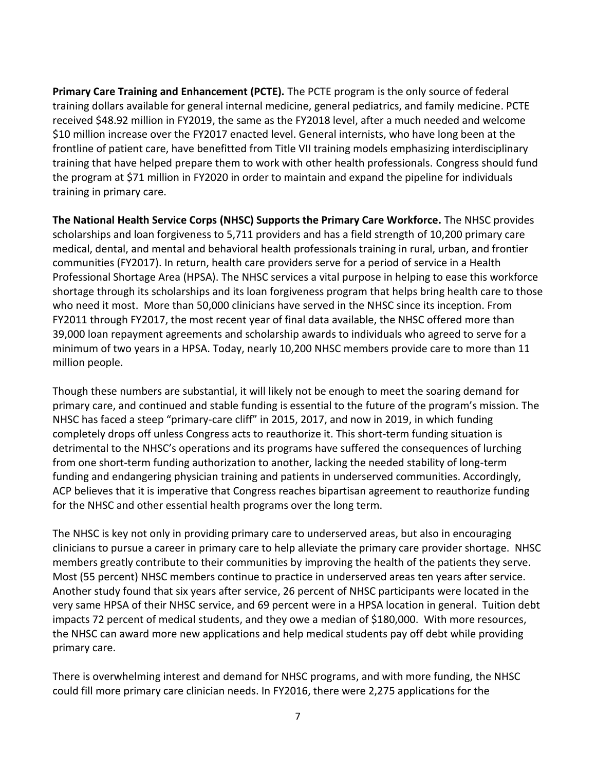**Primary Care Training and Enhancement (PCTE).** The PCTE program is the only source of federal training dollars available for general internal medicine, general pediatrics, and family medicine. PCTE received \$48.92 million in FY2019, the same as the FY2018 level, after a much needed and welcome \$10 million increase over the FY2017 enacted level. General internists, who have long been at the frontline of patient care, have benefitted from Title VII training models emphasizing interdisciplinary training that have helped prepare them to work with other health professionals. Congress should fund the program at \$71 million in FY2020 in order to maintain and expand the pipeline for individuals training in primary care.

**The National Health Service Corps (NHSC) Supports the Primary Care Workforce.** The NHSC provides scholarships and loan forgiveness to 5,711 providers and has a field strength of 10,200 primary care medical, dental, and mental and behavioral health professionals training in rural, urban, and frontier communities (FY2017). In return, health care providers serve for a period of service in a Health Professional Shortage Area (HPSA). The NHSC services a vital purpose in helping to ease this workforce shortage through its scholarships and its loan forgiveness program that helps bring health care to those who need it most. More than 50,000 clinicians have served in the NHSC since its inception. From FY2011 through FY2017, the most recent year of final data available, the NHSC offered more than 39,000 loan repayment agreements and scholarship awards to individuals who agreed to serve for a minimum of two years in a HPSA. Today, nearly 10,200 NHSC members provide care to more than 11 million people.

Though these numbers are substantial, it will likely not be enough to meet the soaring demand for primary care, and continued and stable funding is essential to the future of the program's mission. The NHSC has faced a steep "primary-care cliff" in 2015, 2017, and now in 2019, in which funding completely drops off unless Congress acts to reauthorize it. This short-term funding situation is detrimental to the NHSC's operations and its programs have suffered the consequences of lurching from one short-term funding authorization to another, lacking the needed stability of long-term funding and endangering physician training and patients in underserved communities. Accordingly, ACP believes that it is imperative that Congress reaches bipartisan agreement to reauthorize funding for the NHSC and other essential health programs over the long term.

The NHSC is key not only in providing primary care to underserved areas, but also in encouraging clinicians to pursue a career in primary care to help alleviate the primary care provider shortage. NHSC members greatly contribute to their communities by improving the health of the patients they serve. Most (55 percent) NHSC members continue to practice in underserved areas ten years after service. Another study found that six years after service, 26 percent of NHSC participants were located in the very same HPSA of their NHSC service, and 69 percent were in a HPSA location in general. Tuition debt impacts 72 percent of medical students, and they owe a median of \$180,000. With more resources, the NHSC can award more new applications and help medical students pay off debt while providing primary care.

There is overwhelming interest and demand for NHSC programs, and with more funding, the NHSC could fill more primary care clinician needs. In FY2016, there were 2,275 applications for the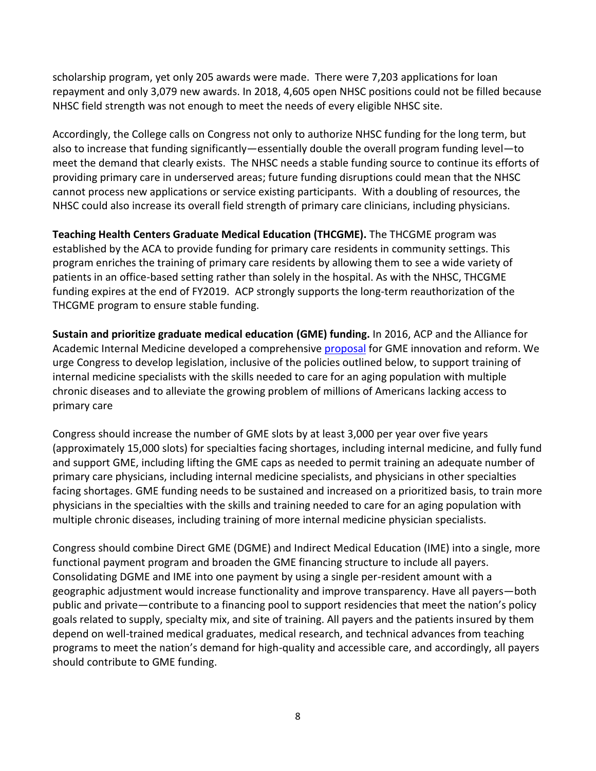scholarship program, yet only 205 awards were made. There were 7,203 applications for loan repayment and only 3,079 new awards. In 2018, 4,605 open NHSC positions could not be filled because NHSC field strength was not enough to meet the needs of every eligible NHSC site.

Accordingly, the College calls on Congress not only to authorize NHSC funding for the long term, but also to increase that funding significantly—essentially double the overall program funding level—to meet the demand that clearly exists. The NHSC needs a stable funding source to continue its efforts of providing primary care in underserved areas; future funding disruptions could mean that the NHSC cannot process new applications or service existing participants. With a doubling of resources, the NHSC could also increase its overall field strength of primary care clinicians, including physicians.

**Teaching Health Centers Graduate Medical Education (THCGME).** The THCGME program was established by the ACA to provide funding for primary care residents in community settings. This program enriches the training of primary care residents by allowing them to see a wide variety of patients in an office-based setting rather than solely in the hospital. As with the NHSC, THCGME funding expires at the end of FY2019. ACP strongly supports the long-term reauthorization of the THCGME program to ensure stable funding.

**Sustain and prioritize graduate medical education (GME) funding.** In 2016, ACP and the Alliance for Academic Internal Medicine developed a comprehensive [proposal](https://annals.org/aim/fullarticle/2520466/financing-u-s-graduate-medical-education-policy-position-paper-alliance) for GME innovation and reform. We urge Congress to develop legislation, inclusive of the policies outlined below, to support training of internal medicine specialists with the skills needed to care for an aging population with multiple chronic diseases and to alleviate the growing problem of millions of Americans lacking access to primary care

Congress should increase the number of GME slots by at least 3,000 per year over five years (approximately 15,000 slots) for specialties facing shortages, including internal medicine, and fully fund and support GME, including lifting the GME caps as needed to permit training an adequate number of primary care physicians, including internal medicine specialists, and physicians in other specialties facing shortages. GME funding needs to be sustained and increased on a prioritized basis, to train more physicians in the specialties with the skills and training needed to care for an aging population with multiple chronic diseases, including training of more internal medicine physician specialists.

Congress should combine Direct GME (DGME) and Indirect Medical Education (IME) into a single, more functional payment program and broaden the GME financing structure to include all payers. Consolidating DGME and IME into one payment by using a single per-resident amount with a geographic adjustment would increase functionality and improve transparency. Have all payers—both public and private—contribute to a financing pool to support residencies that meet the nation's policy goals related to supply, specialty mix, and site of training. All payers and the patients insured by them depend on well-trained medical graduates, medical research, and technical advances from teaching programs to meet the nation's demand for high-quality and accessible care, and accordingly, all payers should contribute to GME funding.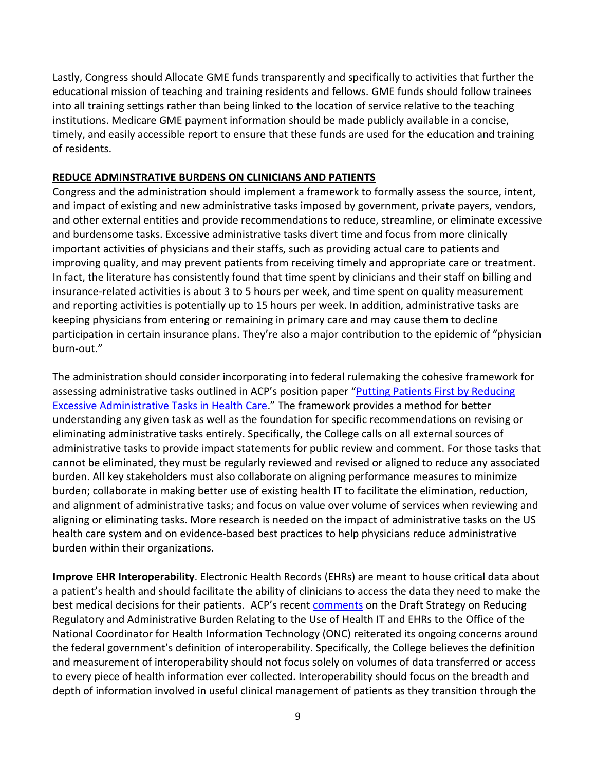Lastly, Congress should Allocate GME funds transparently and specifically to activities that further the educational mission of teaching and training residents and fellows. GME funds should follow trainees into all training settings rather than being linked to the location of service relative to the teaching institutions. Medicare GME payment information should be made publicly available in a concise, timely, and easily accessible report to ensure that these funds are used for the education and training of residents.

#### **REDUCE ADMINSTRATIVE BURDENS ON CLINICIANS AND PATIENTS**

Congress and the administration should implement a framework to formally assess the source, intent, and impact of existing and new administrative tasks imposed by government, private payers, vendors, and other external entities and provide recommendations to reduce, streamline, or eliminate excessive and burdensome tasks. Excessive administrative tasks divert time and focus from more clinically important activities of physicians and their staffs, such as providing actual care to patients and improving quality, and may prevent patients from receiving timely and appropriate care or treatment. In fact, the literature has consistently found that time spent by clinicians and their staff on billing and insurance-related activities is about 3 to 5 hours per week, and time spent on quality measurement and reporting activities is potentially up to 15 hours per week. In addition, administrative tasks are keeping physicians from entering or remaining in primary care and may cause them to decline participation in certain insurance plans. They're also a major contribution to the epidemic of "physician burn-out."

The administration should consider incorporating into federal rulemaking the cohesive framework for assessing administrative tasks outlined in ACP's position paper "[Putting Patients First by Reducing](https://annals.org/aim/fullarticle/2614079/putting-patients-first-reducing-administrative-tasks-health-care-position-paper)  [Excessive Administrative Tasks in Health Care.](https://annals.org/aim/fullarticle/2614079/putting-patients-first-reducing-administrative-tasks-health-care-position-paper)" The framework provides a method for better understanding any given task as well as the foundation for specific recommendations on revising or eliminating administrative tasks entirely. Specifically, the College calls on all external sources of administrative tasks to provide impact statements for public review and comment. For those tasks that cannot be eliminated, they must be regularly reviewed and revised or aligned to reduce any associated burden. All key stakeholders must also collaborate on aligning performance measures to minimize burden; collaborate in making better use of existing health IT to facilitate the elimination, reduction, and alignment of administrative tasks; and focus on value over volume of services when reviewing and aligning or eliminating tasks. More research is needed on the impact of administrative tasks on the US health care system and on evidence-based best practices to help physicians reduce administrative burden within their organizations.

**Improve EHR Interoperability**. Electronic Health Records (EHRs) are meant to house critical data about a patient's health and should facilitate the ability of clinicians to access the data they need to make the best medical decisions for their patients. ACP's recent [comments](https://www.acponline.org/acp_policy/letters/acp_comments_on_onc_draft_health_it_burden_reduction_strategy_2019.pdf) on the Draft Strategy on Reducing Regulatory and Administrative Burden Relating to the Use of Health IT and EHRs to the Office of the National Coordinator for Health Information Technology (ONC) reiterated its ongoing concerns around the federal government's definition of interoperability. Specifically, the College believes the definition and measurement of interoperability should not focus solely on volumes of data transferred or access to every piece of health information ever collected. Interoperability should focus on the breadth and depth of information involved in useful clinical management of patients as they transition through the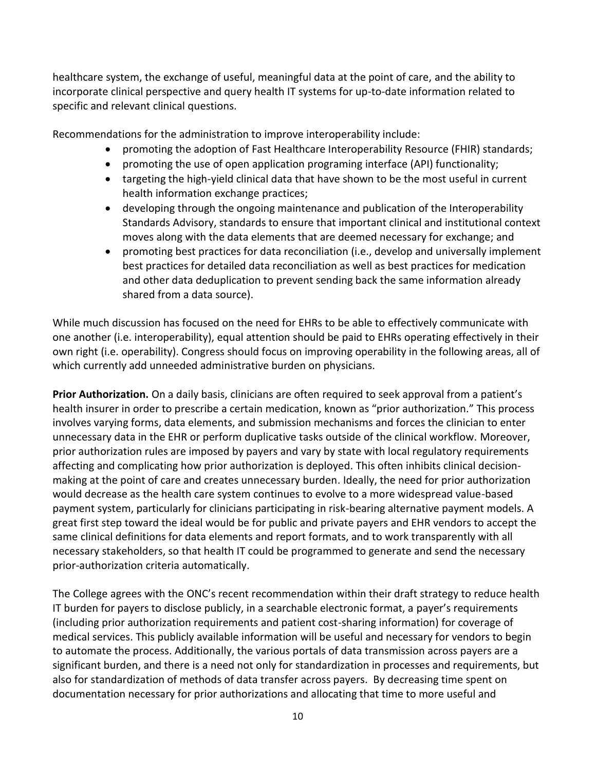healthcare system, the exchange of useful, meaningful data at the point of care, and the ability to incorporate clinical perspective and query health IT systems for up-to-date information related to specific and relevant clinical questions.

Recommendations for the administration to improve interoperability include:

- promoting the adoption of Fast Healthcare Interoperability Resource (FHIR) standards;
- promoting the use of open application programing interface (API) functionality;
- targeting the high-yield clinical data that have shown to be the most useful in current health information exchange practices;
- developing through the ongoing maintenance and publication of the Interoperability Standards Advisory, standards to ensure that important clinical and institutional context moves along with the data elements that are deemed necessary for exchange; and
- promoting best practices for data reconciliation (i.e., develop and universally implement best practices for detailed data reconciliation as well as best practices for medication and other data deduplication to prevent sending back the same information already shared from a data source).

While much discussion has focused on the need for EHRs to be able to effectively communicate with one another (i.e. interoperability), equal attention should be paid to EHRs operating effectively in their own right (i.e. operability). Congress should focus on improving operability in the following areas, all of which currently add unneeded administrative burden on physicians.

**Prior Authorization.** On a daily basis, clinicians are often required to seek approval from a patient's health insurer in order to prescribe a certain medication, known as "prior authorization." This process involves varying forms, data elements, and submission mechanisms and forces the clinician to enter unnecessary data in the EHR or perform duplicative tasks outside of the clinical workflow. Moreover, prior authorization rules are imposed by payers and vary by state with local regulatory requirements affecting and complicating how prior authorization is deployed. This often inhibits clinical decisionmaking at the point of care and creates unnecessary burden. Ideally, the need for prior authorization would decrease as the health care system continues to evolve to a more widespread value-based payment system, particularly for clinicians participating in risk-bearing alternative payment models. A great first step toward the ideal would be for public and private payers and EHR vendors to accept the same clinical definitions for data elements and report formats, and to work transparently with all necessary stakeholders, so that health IT could be programmed to generate and send the necessary prior-authorization criteria automatically.

The College agrees with the ONC's recent recommendation within their draft strategy to reduce health IT burden for payers to disclose publicly, in a searchable electronic format, a payer's requirements (including prior authorization requirements and patient cost-sharing information) for coverage of medical services. This publicly available information will be useful and necessary for vendors to begin to automate the process. Additionally, the various portals of data transmission across payers are a significant burden, and there is a need not only for standardization in processes and requirements, but also for standardization of methods of data transfer across payers. By decreasing time spent on documentation necessary for prior authorizations and allocating that time to more useful and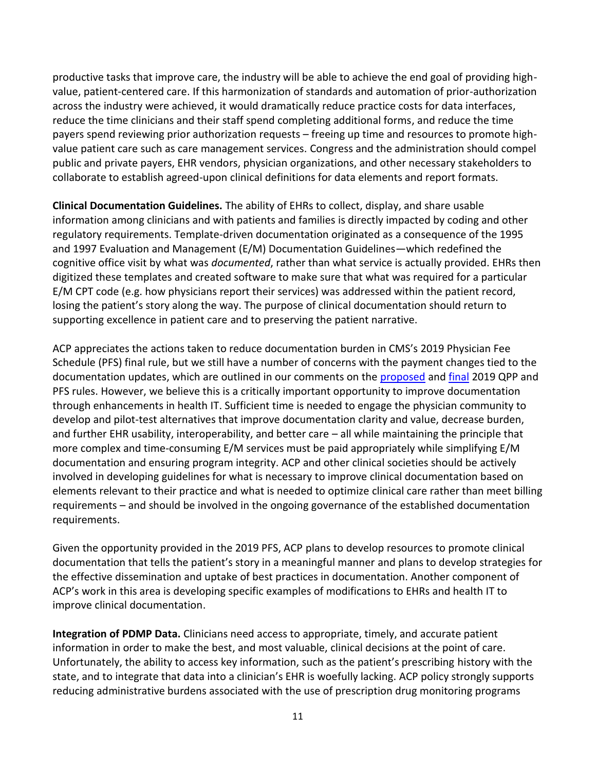productive tasks that improve care, the industry will be able to achieve the end goal of providing highvalue, patient-centered care. If this harmonization of standards and automation of prior-authorization across the industry were achieved, it would dramatically reduce practice costs for data interfaces, reduce the time clinicians and their staff spend completing additional forms, and reduce the time payers spend reviewing prior authorization requests – freeing up time and resources to promote highvalue patient care such as care management services. Congress and the administration should compel public and private payers, EHR vendors, physician organizations, and other necessary stakeholders to collaborate to establish agreed-upon clinical definitions for data elements and report formats.

**Clinical Documentation Guidelines.** The ability of EHRs to collect, display, and share usable information among clinicians and with patients and families is directly impacted by coding and other regulatory requirements. Template-driven documentation originated as a consequence of the 1995 and 1997 Evaluation and Management (E/M) Documentation Guidelines—which redefined the cognitive office visit by what was *documented*, rather than what service is actually provided. EHRs then digitized these templates and created software to make sure that what was required for a particular E/M CPT code (e.g. how physicians report their services) was addressed within the patient record, losing the patient's story along the way. The purpose of clinical documentation should return to supporting excellence in patient care and to preserving the patient narrative.

ACP appreciates the actions taken to reduce documentation burden in CMS's 2019 Physician Fee Schedule (PFS) final rule, but we still have a number of concerns with the payment changes tied to the documentation updates, which are outlined in our comments on the [proposed](https://www.acponline.org/acp_policy/letters/acp_comments_2019_qpp_pfs_proposed_rule_2018.pdf) an[d final](https://www.acponline.org/acp_policy/letters/acp_comments_on_2019_pfs_qpp_final_rule_2018.pdf) 2019 QPP and PFS rules. However, we believe this is a critically important opportunity to improve documentation through enhancements in health IT. Sufficient time is needed to engage the physician community to develop and pilot-test alternatives that improve documentation clarity and value, decrease burden, and further EHR usability, interoperability, and better care – all while maintaining the principle that more complex and time-consuming E/M services must be paid appropriately while simplifying E/M documentation and ensuring program integrity. ACP and other clinical societies should be actively involved in developing guidelines for what is necessary to improve clinical documentation based on elements relevant to their practice and what is needed to optimize clinical care rather than meet billing requirements – and should be involved in the ongoing governance of the established documentation requirements.

Given the opportunity provided in the 2019 PFS, ACP plans to develop resources to promote clinical documentation that tells the patient's story in a meaningful manner and plans to develop strategies for the effective dissemination and uptake of best practices in documentation. Another component of ACP's work in this area is developing specific examples of modifications to EHRs and health IT to improve clinical documentation.

**Integration of PDMP Data.** Clinicians need access to appropriate, timely, and accurate patient information in order to make the best, and most valuable, clinical decisions at the point of care. Unfortunately, the ability to access key information, such as the patient's prescribing history with the state, and to integrate that data into a clinician's EHR is woefully lacking. ACP policy strongly supports reducing administrative burdens associated with the use of prescription drug monitoring programs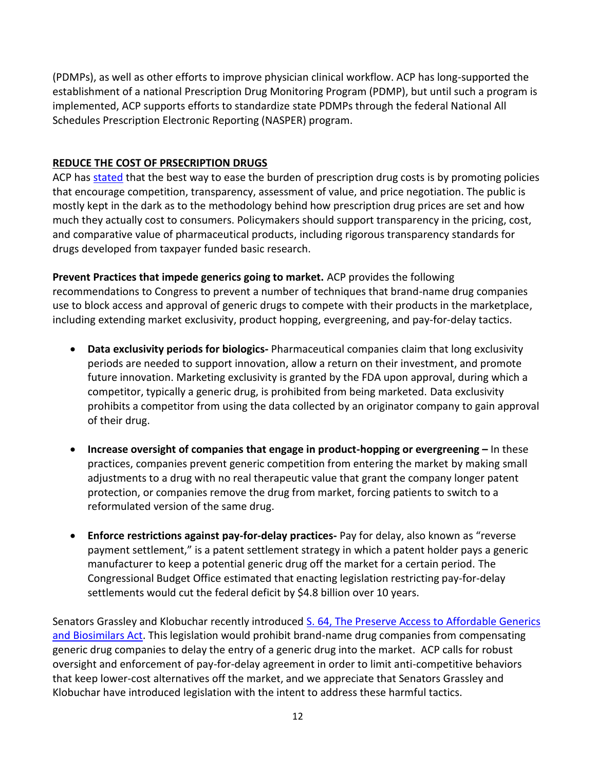(PDMPs), as well as other efforts to improve physician clinical workflow. ACP has long-supported the establishment of a national Prescription Drug Monitoring Program (PDMP), but until such a program is implemented, ACP supports efforts to standardize state PDMPs through the federal National All Schedules Prescription Electronic Reporting (NASPER) program.

# **REDUCE THE COST OF PRSECRIPTION DRUGS**

ACP ha[s stated](https://annals.org/aim/fullarticle/2506848/stemming-escalating-cost-prescription-drugs-position-paper-american-college-physicians) that the best way to ease the burden of prescription drug costs is by promoting policies that encourage competition, transparency, assessment of value, and price negotiation. The public is mostly kept in the dark as to the methodology behind how prescription drug prices are set and how much they actually cost to consumers. Policymakers should support transparency in the pricing, cost, and comparative value of pharmaceutical products, including rigorous transparency standards for drugs developed from taxpayer funded basic research.

**Prevent Practices that impede generics going to market.** ACP provides the following recommendations to Congress to prevent a number of techniques that brand-name drug companies use to block access and approval of generic drugs to compete with their products in the marketplace, including extending market exclusivity, product hopping, evergreening, and pay-for-delay tactics.

- **Data exclusivity periods for biologics-** Pharmaceutical companies claim that long exclusivity periods are needed to support innovation, allow a return on their investment, and promote future innovation. Marketing exclusivity is granted by the FDA upon approval, during which a competitor, typically a generic drug, is prohibited from being marketed. Data exclusivity prohibits a competitor from using the data collected by an originator company to gain approval of their drug.
- **•** Increase oversight of companies that engage in product-hopping or evergreening In these practices, companies prevent generic competition from entering the market by making small adjustments to a drug with no real therapeutic value that grant the company longer patent protection, or companies remove the drug from market, forcing patients to switch to a reformulated version of the same drug.
- **Enforce restrictions against pay-for-delay practices-** Pay for delay, also known as "reverse payment settlement," is a patent settlement strategy in which a patent holder pays a generic manufacturer to keep a potential generic drug off the market for a certain period. The Congressional Budget Office estimated that enacting legislation restricting pay-for-delay settlements would cut the federal deficit by \$4.8 billion over 10 years.

Senators Grassley and Klobuchar recently introduced S. 64, The Preserve Access to Affordable Generics [and Biosimilars Act.](https://www.congress.gov/bill/116th-congress/senate-bill/64/text?q=%7B%22search%22%3A%5B%22pay+for+delay%22%5D%7D&r=2&s=1) This legislation would prohibit brand-name drug companies from compensating generic drug companies to delay the entry of a generic drug into the market. ACP calls for robust oversight and enforcement of pay-for-delay agreement in order to limit anti-competitive behaviors that keep lower-cost alternatives off the market, and we appreciate that Senators Grassley and Klobuchar have introduced legislation with the intent to address these harmful tactics.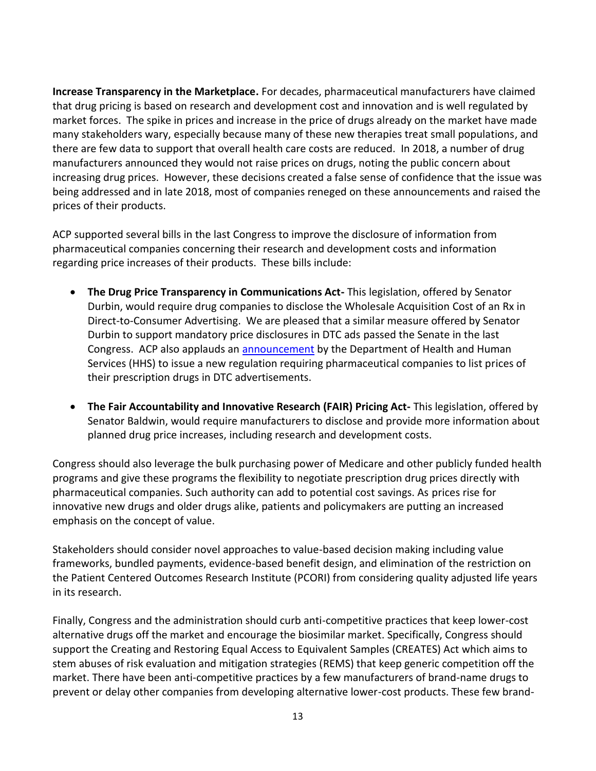**Increase Transparency in the Marketplace.** For decades, pharmaceutical manufacturers have claimed that drug pricing is based on research and development cost and innovation and is well regulated by market forces. The spike in prices and increase in the price of drugs already on the market have made many stakeholders wary, especially because many of these new therapies treat small populations, and there are few data to support that overall health care costs are reduced. In 2018, a number of drug manufacturers announced they would not raise prices on drugs, noting the public concern about increasing drug prices. However, these decisions created a false sense of confidence that the issue was being addressed and in late 2018, most of companies reneged on these announcements and raised the prices of their products.

ACP supported several bills in the last Congress to improve the disclosure of information from pharmaceutical companies concerning their research and development costs and information regarding price increases of their products. These bills include:

- **The Drug Price Transparency in Communications Act-** This legislation, offered by Senator Durbin, would require drug companies to disclose the Wholesale Acquisition Cost of an Rx in Direct-to-Consumer Advertising. We are pleased that a similar measure offered by Senator Durbin to support mandatory price disclosures in DTC ads passed the Senate in the last Congress. ACP also applauds an [announcement](https://www.hhs.gov/about/news/2018/10/15/what-you-need-to-know-about-putting-drug-prices-in-tv-ads.html) by the Department of Health and Human Services (HHS) to issue a new regulation requiring pharmaceutical companies to list prices of their prescription drugs in DTC advertisements.
- **The Fair Accountability and Innovative Research (FAIR) Pricing Act-** This legislation, offered by Senator Baldwin, would require manufacturers to disclose and provide more information about planned drug price increases, including research and development costs.

Congress should also leverage the bulk purchasing power of Medicare and other publicly funded health programs and give these programs the flexibility to negotiate prescription drug prices directly with pharmaceutical companies. Such authority can add to potential cost savings. As prices rise for innovative new drugs and older drugs alike, patients and policymakers are putting an increased emphasis on the concept of value.

Stakeholders should consider novel approaches to value-based decision making including value frameworks, bundled payments, evidence-based benefit design, and elimination of the restriction on the Patient Centered Outcomes Research Institute (PCORI) from considering quality adjusted life years in its research.

Finally, Congress and the administration should curb anti-competitive practices that keep lower-cost alternative drugs off the market and encourage the biosimilar market. Specifically, Congress should support the Creating and Restoring Equal Access to Equivalent Samples (CREATES) Act which aims to stem abuses of risk evaluation and mitigation strategies (REMS) that keep generic competition off the market. There have been anti-competitive practices by a few manufacturers of brand-name drugs to prevent or delay other companies from developing alternative lower-cost products. These few brand-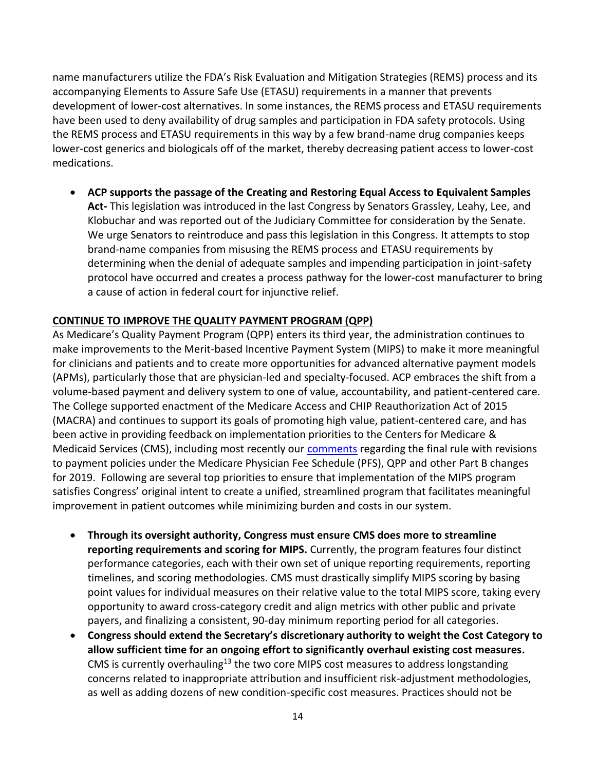name manufacturers utilize the FDA's Risk Evaluation and Mitigation Strategies (REMS) process and its accompanying Elements to Assure Safe Use (ETASU) requirements in a manner that prevents development of lower-cost alternatives. In some instances, the REMS process and ETASU requirements have been used to deny availability of drug samples and participation in FDA safety protocols. Using the REMS process and ETASU requirements in this way by a few brand-name drug companies keeps lower-cost generics and biologicals off of the market, thereby decreasing patient access to lower-cost medications.

 **ACP supports the passage of the Creating and Restoring Equal Access to Equivalent Samples Act-** This legislation was introduced in the last Congress by Senators Grassley, Leahy, Lee, and Klobuchar and was reported out of the Judiciary Committee for consideration by the Senate. We urge Senators to reintroduce and pass this legislation in this Congress. It attempts to stop brand-name companies from misusing the REMS process and ETASU requirements by determining when the denial of adequate samples and impending participation in joint-safety protocol have occurred and creates a process pathway for the lower-cost manufacturer to bring a cause of action in federal court for injunctive relief.

## **CONTINUE TO IMPROVE THE QUALITY PAYMENT PROGRAM (QPP)**

As Medicare's Quality Payment Program (QPP) enters its third year, the administration continues to make improvements to the Merit-based Incentive Payment System (MIPS) to make it more meaningful for clinicians and patients and to create more opportunities for advanced alternative payment models (APMs), particularly those that are physician-led and specialty-focused. ACP embraces the shift from a volume-based payment and delivery system to one of value, accountability, and patient-centered care. The College supported enactment of the Medicare Access and CHIP Reauthorization Act of 2015 (MACRA) and continues to support its goals of promoting high value, patient-centered care, and has been active in providing feedback on implementation priorities to the Centers for Medicare & Medicaid Services (CMS), including most recently our [comments](https://www.acponline.org/acp_policy/letters/acp_comments_on_2019_pfs_qpp_final_rule_2018.pdf) regarding the final rule with revisions to payment policies under the Medicare Physician Fee Schedule (PFS), QPP and other Part B changes for 2019. Following are several top priorities to ensure that implementation of the MIPS program satisfies Congress' original intent to create a unified, streamlined program that facilitates meaningful improvement in patient outcomes while minimizing burden and costs in our system.

- **Through its oversight authority, Congress must ensure CMS does more to streamline reporting requirements and scoring for MIPS.** Currently, the program features four distinct performance categories, each with their own set of unique reporting requirements, reporting timelines, and scoring methodologies. CMS must drastically simplify MIPS scoring by basing point values for individual measures on their relative value to the total MIPS score, taking every opportunity to award cross-category credit and align metrics with other public and private payers, and finalizing a consistent, 90-day minimum reporting period for all categories.
- **Congress should extend the Secretary's discretionary authority to weight the Cost Category to allow sufficient time for an ongoing effort to significantly overhaul existing cost measures.**  CMS is currently overhauling<sup>13</sup> the two core MIPS cost measures to address longstanding concerns related to inappropriate attribution and insufficient risk-adjustment methodologies, as well as adding dozens of new condition-specific cost measures. Practices should not be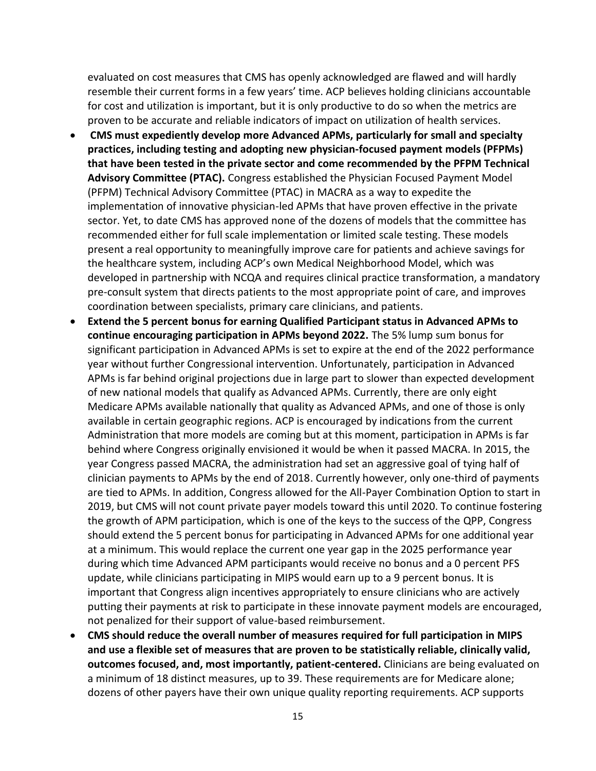evaluated on cost measures that CMS has openly acknowledged are flawed and will hardly resemble their current forms in a few years' time. ACP believes holding clinicians accountable for cost and utilization is important, but it is only productive to do so when the metrics are proven to be accurate and reliable indicators of impact on utilization of health services.

- **CMS must expediently develop more Advanced APMs, particularly for small and specialty practices, including testing and adopting new physician-focused payment models (PFPMs) that have been tested in the private sector and come recommended by the PFPM Technical Advisory Committee (PTAC).** Congress established the Physician Focused Payment Model (PFPM) Technical Advisory Committee (PTAC) in MACRA as a way to expedite the implementation of innovative physician-led APMs that have proven effective in the private sector. Yet, to date CMS has approved none of the dozens of models that the committee has recommended either for full scale implementation or limited scale testing. These models present a real opportunity to meaningfully improve care for patients and achieve savings for the healthcare system, including ACP's own Medical Neighborhood Model, which was developed in partnership with NCQA and requires clinical practice transformation, a mandatory pre-consult system that directs patients to the most appropriate point of care, and improves coordination between specialists, primary care clinicians, and patients.
- **Extend the 5 percent bonus for earning Qualified Participant status in Advanced APMs to continue encouraging participation in APMs beyond 2022.** The 5% lump sum bonus for significant participation in Advanced APMs is set to expire at the end of the 2022 performance year without further Congressional intervention. Unfortunately, participation in Advanced APMs is far behind original projections due in large part to slower than expected development of new national models that qualify as Advanced APMs. Currently, there are only eight Medicare APMs available nationally that quality as Advanced APMs, and one of those is only available in certain geographic regions. ACP is encouraged by indications from the current Administration that more models are coming but at this moment, participation in APMs is far behind where Congress originally envisioned it would be when it passed MACRA. In 2015, the year Congress passed MACRA, the administration had set an aggressive goal of tying half of clinician payments to APMs by the end of 2018. Currently however, only one-third of payments are tied to APMs. In addition, Congress allowed for the All-Payer Combination Option to start in 2019, but CMS will not count private payer models toward this until 2020. To continue fostering the growth of APM participation, which is one of the keys to the success of the QPP, Congress should extend the 5 percent bonus for participating in Advanced APMs for one additional year at a minimum. This would replace the current one year gap in the 2025 performance year during which time Advanced APM participants would receive no bonus and a 0 percent PFS update, while clinicians participating in MIPS would earn up to a 9 percent bonus. It is important that Congress align incentives appropriately to ensure clinicians who are actively putting their payments at risk to participate in these innovate payment models are encouraged, not penalized for their support of value-based reimbursement.
- **CMS should reduce the overall number of measures required for full participation in MIPS and use a flexible set of measures that are proven to be statistically reliable, clinically valid, outcomes focused, and, most importantly, patient-centered.** Clinicians are being evaluated on a minimum of 18 distinct measures, up to 39. These requirements are for Medicare alone; dozens of other payers have their own unique quality reporting requirements. ACP supports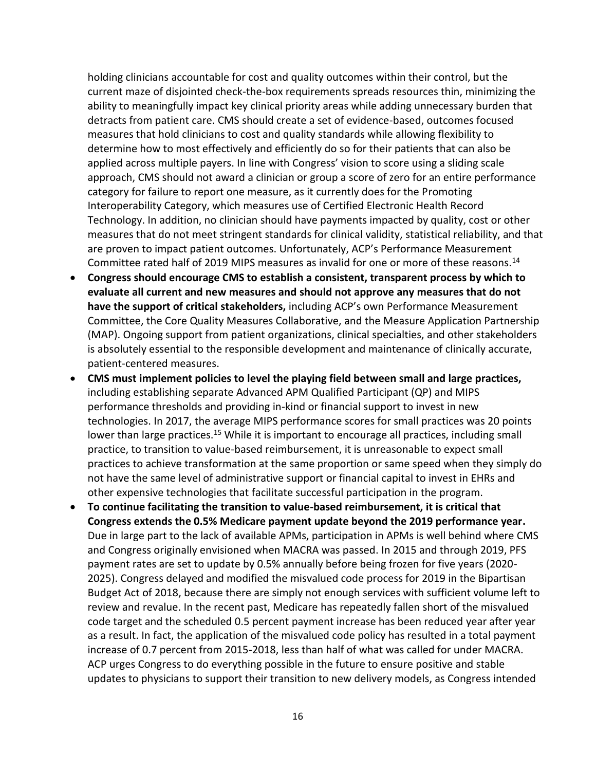holding clinicians accountable for cost and quality outcomes within their control, but the current maze of disjointed check-the-box requirements spreads resources thin, minimizing the ability to meaningfully impact key clinical priority areas while adding unnecessary burden that detracts from patient care. CMS should create a set of evidence-based, outcomes focused measures that hold clinicians to cost and quality standards while allowing flexibility to determine how to most effectively and efficiently do so for their patients that can also be applied across multiple payers. In line with Congress' vision to score using a sliding scale approach, CMS should not award a clinician or group a score of zero for an entire performance category for failure to report one measure, as it currently does for the Promoting Interoperability Category, which measures use of Certified Electronic Health Record Technology. In addition, no clinician should have payments impacted by quality, cost or other measures that do not meet stringent standards for clinical validity, statistical reliability, and that are proven to impact patient outcomes. Unfortunately, ACP's Performance Measurement Committee rated half of 2019 MIPS measures as invalid for one or more of these reasons.<sup>14</sup>

- **Congress should encourage CMS to establish a consistent, transparent process by which to evaluate all current and new measures and should not approve any measures that do not have the support of critical stakeholders,** including ACP's own Performance Measurement Committee, the Core Quality Measures Collaborative, and the Measure Application Partnership (MAP). Ongoing support from patient organizations, clinical specialties, and other stakeholders is absolutely essential to the responsible development and maintenance of clinically accurate, patient-centered measures.
- **CMS must implement policies to level the playing field between small and large practices,** including establishing separate Advanced APM Qualified Participant (QP) and MIPS performance thresholds and providing in-kind or financial support to invest in new technologies. In 2017, the average MIPS performance scores for small practices was 20 points lower than large practices.<sup>15</sup> While it is important to encourage all practices, including small practice, to transition to value-based reimbursement, it is unreasonable to expect small practices to achieve transformation at the same proportion or same speed when they simply do not have the same level of administrative support or financial capital to invest in EHRs and other expensive technologies that facilitate successful participation in the program.
- **To continue facilitating the transition to value-based reimbursement, it is critical that Congress extends the 0.5% Medicare payment update beyond the 2019 performance year.**  Due in large part to the lack of available APMs, participation in APMs is well behind where CMS and Congress originally envisioned when MACRA was passed. In 2015 and through 2019, PFS payment rates are set to update by 0.5% annually before being frozen for five years (2020- 2025). Congress delayed and modified the misvalued code process for 2019 in the Bipartisan Budget Act of 2018, because there are simply not enough services with sufficient volume left to review and revalue. In the recent past, Medicare has repeatedly fallen short of the misvalued code target and the scheduled 0.5 percent payment increase has been reduced year after year as a result. In fact, the application of the misvalued code policy has resulted in a total payment increase of 0.7 percent from 2015-2018, less than half of what was called for under MACRA. ACP urges Congress to do everything possible in the future to ensure positive and stable updates to physicians to support their transition to new delivery models, as Congress intended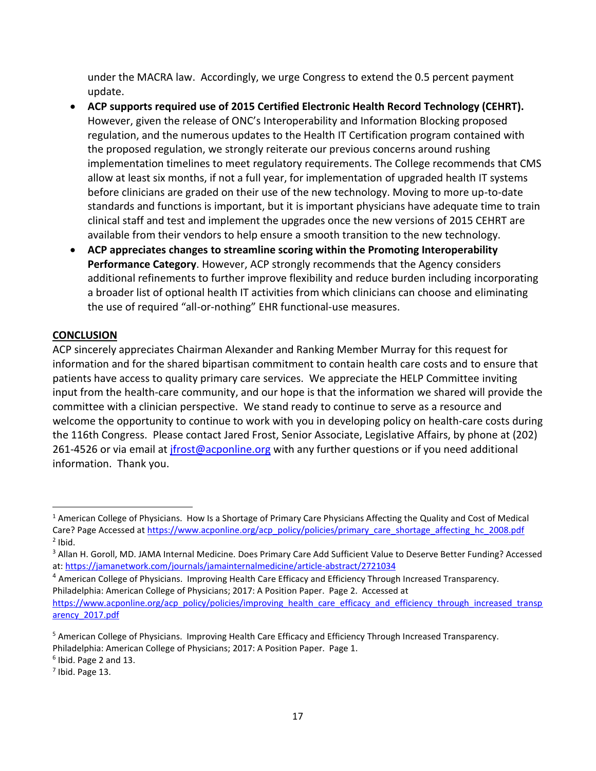under the MACRA law. Accordingly, we urge Congress to extend the 0.5 percent payment update.

- **ACP supports required use of 2015 Certified Electronic Health Record Technology (CEHRT).**  However, given the release of ONC's Interoperability and Information Blocking proposed regulation, and the numerous updates to the Health IT Certification program contained with the proposed regulation, we strongly reiterate our previous concerns around rushing implementation timelines to meet regulatory requirements. The College recommends that CMS allow at least six months, if not a full year, for implementation of upgraded health IT systems before clinicians are graded on their use of the new technology. Moving to more up-to-date standards and functions is important, but it is important physicians have adequate time to train clinical staff and test and implement the upgrades once the new versions of 2015 CEHRT are available from their vendors to help ensure a smooth transition to the new technology.
- **ACP appreciates changes to streamline scoring within the Promoting Interoperability Performance Category**. However, ACP strongly recommends that the Agency considers additional refinements to further improve flexibility and reduce burden including incorporating a broader list of optional health IT activities from which clinicians can choose and eliminating the use of required "all-or-nothing" EHR functional-use measures.

### **CONCLUSION**

ACP sincerely appreciates Chairman Alexander and Ranking Member Murray for this request for information and for the shared bipartisan commitment to contain health care costs and to ensure that patients have access to quality primary care services. We appreciate the HELP Committee inviting input from the health-care community, and our hope is that the information we shared will provide the committee with a clinician perspective. We stand ready to continue to serve as a resource and welcome the opportunity to continue to work with you in developing policy on health-care costs during the 116th Congress. Please contact Jared Frost, Senior Associate, Legislative Affairs, by phone at (202) 261-4526 or via email at *jfrost@acponline.org* with any further questions or if you need additional information. Thank you.

<sup>&</sup>lt;sup>1</sup> American College of Physicians. How Is a Shortage of Primary Care Physicians Affecting the Quality and Cost of Medical Care? Page Accessed at [https://www.acponline.org/acp\\_policy/policies/primary\\_care\\_shortage\\_affecting\\_hc\\_2008.pdf](https://www.acponline.org/acp_policy/policies/primary_care_shortage_affecting_hc_2008.pdf)  $<sup>2</sup>$  Ibid.</sup>  $\overline{\phantom{a}}$ 

<sup>3</sup> Allan H. Goroll, MD. JAMA Internal Medicine. Does Primary Care Add Sufficient Value to Deserve Better Funding? Accessed at: <https://jamanetwork.com/journals/jamainternalmedicine/article-abstract/2721034>

<sup>4</sup> American College of Physicians. Improving Health Care Efficacy and Efficiency Through Increased Transparency. Philadelphia: American College of Physicians; 2017: A Position Paper. Page 2. Accessed at [https://www.acponline.org/acp\\_policy/policies/improving\\_health\\_care\\_efficacy\\_and\\_efficiency\\_through\\_increased\\_transp](https://www.acponline.org/acp_policy/policies/improving_health_care_efficacy_and_efficiency_through_increased_transparency_2017.pdf) [arency\\_2017.pdf](https://www.acponline.org/acp_policy/policies/improving_health_care_efficacy_and_efficiency_through_increased_transparency_2017.pdf)

<sup>&</sup>lt;sup>5</sup> American College of Physicians. Improving Health Care Efficacy and Efficiency Through Increased Transparency. Philadelphia: American College of Physicians; 2017: A Position Paper. Page 1.

<sup>6</sup> Ibid. Page 2 and 13.

 $<sup>7</sup>$  Ibid. Page 13.</sup>